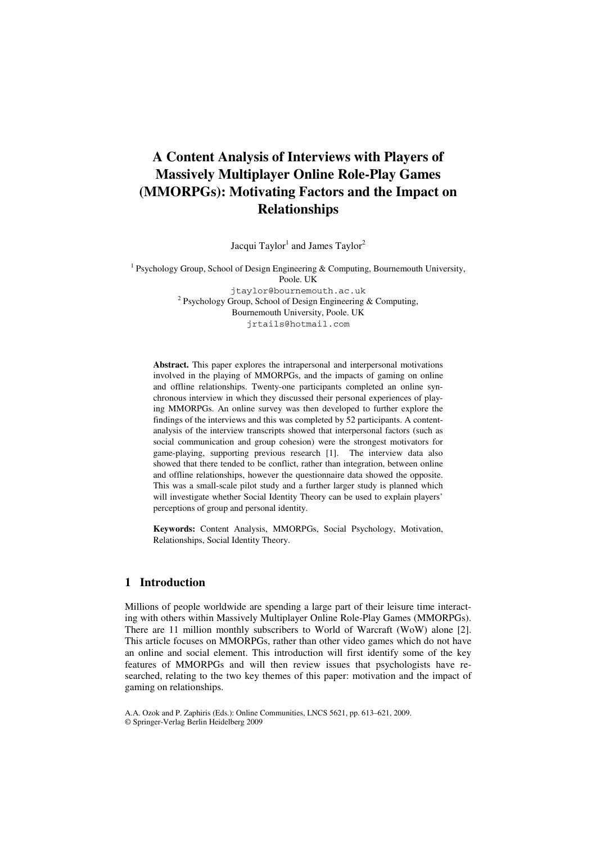# **A Content Analysis of Interviews with Players of Massively Multiplayer Online Role-Play Games (MMORPGs): Motivating Factors and the Impact on Relationships**

Jacqui Taylor<sup>1</sup> and James Taylor<sup>2</sup>

<sup>1</sup> Psychology Group, School of Design Engineering & Computing, Bournemouth University, Poole. UK jtaylor@bournemouth.ac.uk <sup>2</sup> Psychology Group, School of Design Engineering & Computing, Bournemouth University, Poole. UK

jrtails@hotmail.com

**Abstract.** This paper explores the intrapersonal and interpersonal motivations involved in the playing of MMORPGs, and the impacts of gaming on online and offline relationships. Twenty-one participants completed an online synchronous interview in which they discussed their personal experiences of playing MMORPGs. An online survey was then developed to further explore the findings of the interviews and this was completed by 52 participants. A contentanalysis of the interview transcripts showed that interpersonal factors (such as social communication and group cohesion) were the strongest motivators for game-playing, supporting previous research [1]. The interview data also showed that there tended to be conflict, rather than integration, between online and offline relationships, however the questionnaire data showed the opposite. This was a small-scale pilot study and a further larger study is planned which will investigate whether Social Identity Theory can be used to explain players' perceptions of group and personal identity.

**Keywords:** Content Analysis, MMORPGs, Social Psychology, Motivation, Relationships, Social Identity Theory.

# **1 Introduction**

Millions of people worldwide are spending a large part of their leisure time interacting with others within Massively Multiplayer Online Role-Play Games (MMORPGs). There are 11 million monthly subscribers to World of Warcraft (WoW) alone [2]. This article focuses on MMORPGs, rather than other video games which do not have an online and social element. This introduction will first identify some of the key features of MMORPGs and will then review issues that psychologists have researched, relating to the two key themes of this paper: motivation and the impact of gaming on relationships.

A.A. Ozok and P. Zaphiris (Eds.): Online Communities, LNCS 5621, pp. 613–621, 2009. © Springer-Verlag Berlin Heidelberg 2009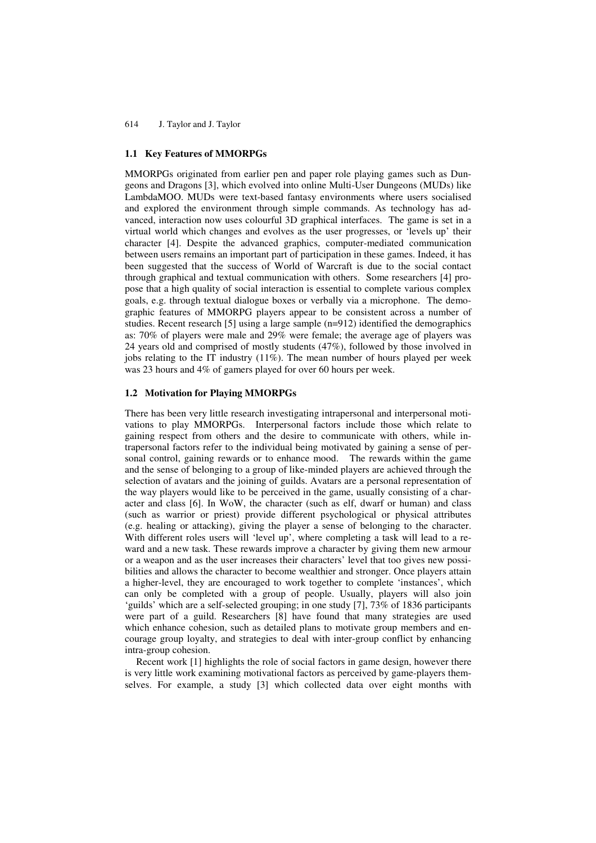#### **1.1 Key Features of MMORPGs**

MMORPGs originated from earlier pen and paper role playing games such as Dungeons and Dragons [3], which evolved into online Multi-User Dungeons (MUDs) like LambdaMOO. MUDs were text-based fantasy environments where users socialised and explored the environment through simple commands. As technology has advanced, interaction now uses colourful 3D graphical interfaces. The game is set in a virtual world which changes and evolves as the user progresses, or 'levels up' their character [4]. Despite the advanced graphics, computer-mediated communication between users remains an important part of participation in these games. Indeed, it has been suggested that the success of World of Warcraft is due to the social contact through graphical and textual communication with others. Some researchers [4] propose that a high quality of social interaction is essential to complete various complex goals, e.g. through textual dialogue boxes or verbally via a microphone. The demographic features of MMORPG players appear to be consistent across a number of studies. Recent research [5] using a large sample (n=912) identified the demographics as: 70% of players were male and 29% were female; the average age of players was 24 years old and comprised of mostly students (47%), followed by those involved in jobs relating to the IT industry (11%). The mean number of hours played per week was 23 hours and 4% of gamers played for over 60 hours per week.

#### **1.2 Motivation for Playing MMORPGs**

There has been very little research investigating intrapersonal and interpersonal motivations to play MMORPGs. Interpersonal factors include those which relate to gaining respect from others and the desire to communicate with others, while intrapersonal factors refer to the individual being motivated by gaining a sense of personal control, gaining rewards or to enhance mood. The rewards within the game and the sense of belonging to a group of like-minded players are achieved through the selection of avatars and the joining of guilds. Avatars are a personal representation of the way players would like to be perceived in the game, usually consisting of a character and class [6]. In WoW, the character (such as elf, dwarf or human) and class (such as warrior or priest) provide different psychological or physical attributes (e.g. healing or attacking), giving the player a sense of belonging to the character. With different roles users will 'level up', where completing a task will lead to a reward and a new task. These rewards improve a character by giving them new armour or a weapon and as the user increases their characters' level that too gives new possibilities and allows the character to become wealthier and stronger. Once players attain a higher-level, they are encouraged to work together to complete 'instances', which can only be completed with a group of people. Usually, players will also join 'guilds' which are a self-selected grouping; in one study [7], 73% of 1836 participants were part of a guild. Researchers [8] have found that many strategies are used which enhance cohesion, such as detailed plans to motivate group members and encourage group loyalty, and strategies to deal with inter-group conflict by enhancing intra-group cohesion.

Recent work [1] highlights the role of social factors in game design, however there is very little work examining motivational factors as perceived by game-players themselves. For example, a study [3] which collected data over eight months with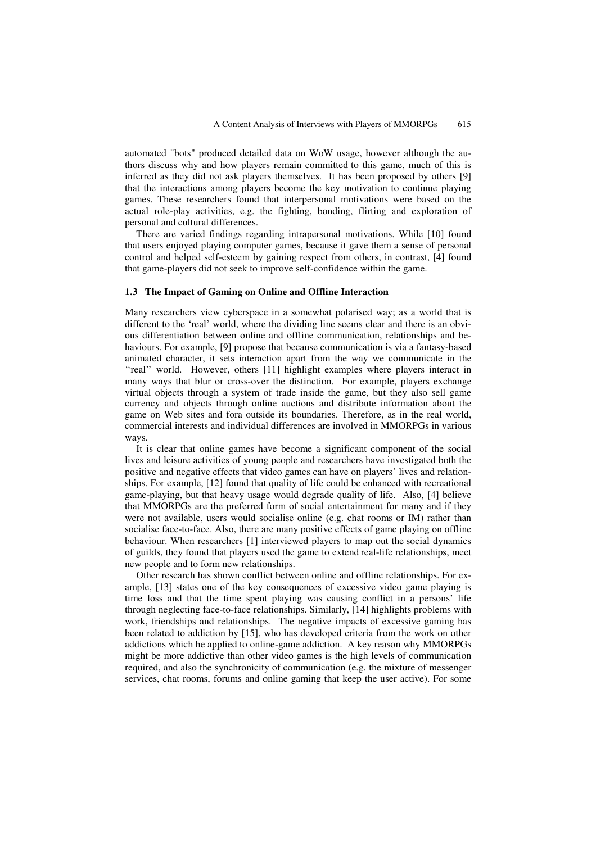automated "bots" produced detailed data on WoW usage, however although the authors discuss why and how players remain committed to this game, much of this is inferred as they did not ask players themselves. It has been proposed by others [9] that the interactions among players become the key motivation to continue playing games. These researchers found that interpersonal motivations were based on the actual role-play activities, e.g. the fighting, bonding, flirting and exploration of personal and cultural differences.

There are varied findings regarding intrapersonal motivations. While [10] found that users enjoyed playing computer games, because it gave them a sense of personal control and helped self-esteem by gaining respect from others, in contrast, [4] found that game-players did not seek to improve self-confidence within the game.

## **1.3 The Impact of Gaming on Online and Offline Interaction**

Many researchers view cyberspace in a somewhat polarised way; as a world that is different to the 'real' world, where the dividing line seems clear and there is an obvious differentiation between online and offline communication, relationships and behaviours. For example, [9] propose that because communication is via a fantasy-based animated character, it sets interaction apart from the way we communicate in the ''real'' world. However, others [11] highlight examples where players interact in many ways that blur or cross-over the distinction. For example, players exchange virtual objects through a system of trade inside the game, but they also sell game currency and objects through online auctions and distribute information about the game on Web sites and fora outside its boundaries. Therefore, as in the real world, commercial interests and individual differences are involved in MMORPGs in various ways.

It is clear that online games have become a significant component of the social lives and leisure activities of young people and researchers have investigated both the positive and negative effects that video games can have on players' lives and relationships. For example, [12] found that quality of life could be enhanced with recreational game-playing, but that heavy usage would degrade quality of life. Also, [4] believe that MMORPGs are the preferred form of social entertainment for many and if they were not available, users would socialise online (e.g. chat rooms or IM) rather than socialise face-to-face. Also, there are many positive effects of game playing on offline behaviour. When researchers [1] interviewed players to map out the social dynamics of guilds, they found that players used the game to extend real-life relationships, meet new people and to form new relationships.

Other research has shown conflict between online and offline relationships. For example, [13] states one of the key consequences of excessive video game playing is time loss and that the time spent playing was causing conflict in a persons' life through neglecting face-to-face relationships. Similarly, [14] highlights problems with work, friendships and relationships. The negative impacts of excessive gaming has been related to addiction by [15], who has developed criteria from the work on other addictions which he applied to online-game addiction. A key reason why MMORPGs might be more addictive than other video games is the high levels of communication required, and also the synchronicity of communication (e.g. the mixture of messenger services, chat rooms, forums and online gaming that keep the user active). For some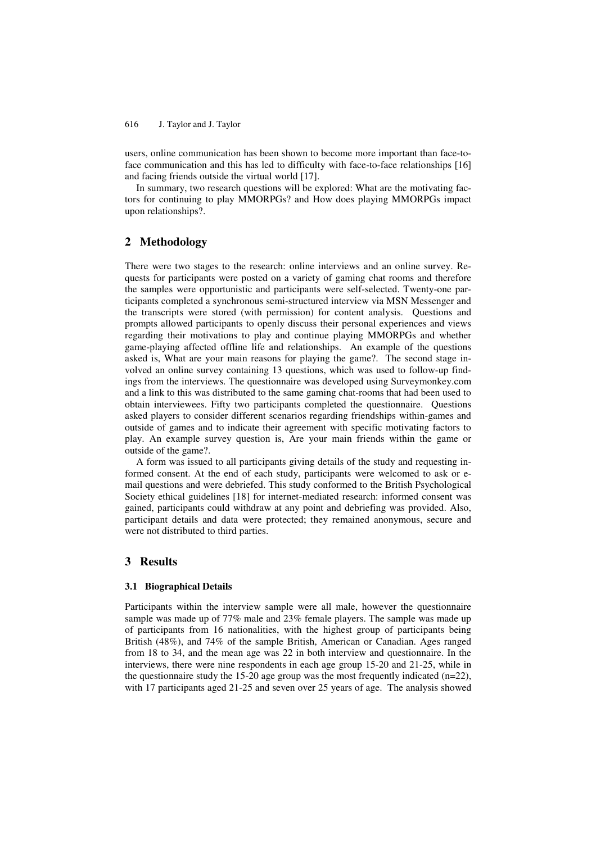users, online communication has been shown to become more important than face-toface communication and this has led to difficulty with face-to-face relationships [16] and facing friends outside the virtual world [17].

In summary, two research questions will be explored: What are the motivating factors for continuing to play MMORPGs? and How does playing MMORPGs impact upon relationships?.

# **2 Methodology**

There were two stages to the research: online interviews and an online survey. Requests for participants were posted on a variety of gaming chat rooms and therefore the samples were opportunistic and participants were self-selected. Twenty-one participants completed a synchronous semi-structured interview via MSN Messenger and the transcripts were stored (with permission) for content analysis. Questions and prompts allowed participants to openly discuss their personal experiences and views regarding their motivations to play and continue playing MMORPGs and whether game-playing affected offline life and relationships. An example of the questions asked is, What are your main reasons for playing the game?. The second stage involved an online survey containing 13 questions, which was used to follow-up findings from the interviews. The questionnaire was developed using Surveymonkey.com and a link to this was distributed to the same gaming chat-rooms that had been used to obtain interviewees. Fifty two participants completed the questionnaire. Questions asked players to consider different scenarios regarding friendships within-games and outside of games and to indicate their agreement with specific motivating factors to play. An example survey question is, Are your main friends within the game or outside of the game?.

A form was issued to all participants giving details of the study and requesting informed consent. At the end of each study, participants were welcomed to ask or email questions and were debriefed. This study conformed to the British Psychological Society ethical guidelines [18] for internet-mediated research: informed consent was gained, participants could withdraw at any point and debriefing was provided. Also, participant details and data were protected; they remained anonymous, secure and were not distributed to third parties.

# **3 Results**

#### **3.1 Biographical Details**

Participants within the interview sample were all male, however the questionnaire sample was made up of 77% male and 23% female players. The sample was made up of participants from 16 nationalities, with the highest group of participants being British (48%), and 74% of the sample British, American or Canadian. Ages ranged from 18 to 34, and the mean age was 22 in both interview and questionnaire. In the interviews, there were nine respondents in each age group 15-20 and 21-25, while in the questionnaire study the 15-20 age group was the most frequently indicated  $(n=22)$ , with 17 participants aged 21-25 and seven over 25 years of age. The analysis showed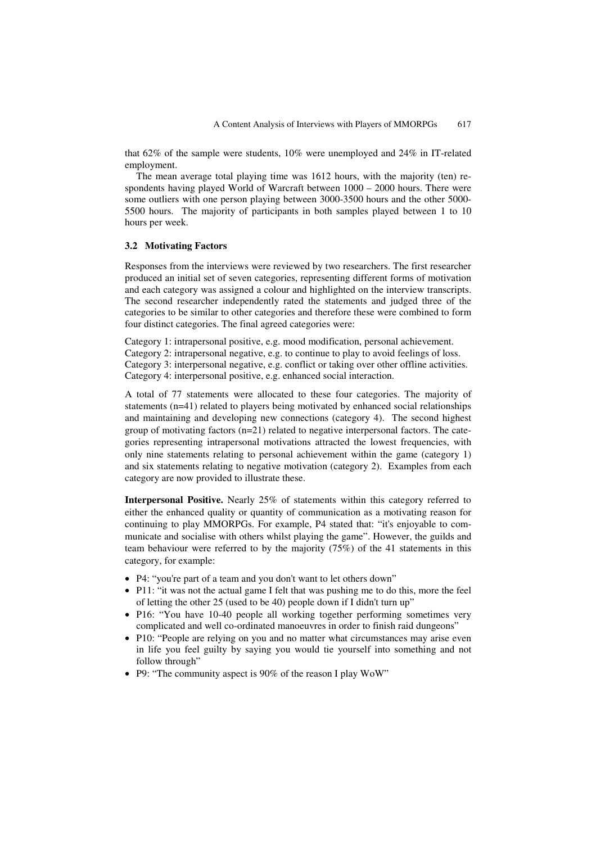that 62% of the sample were students, 10% were unemployed and 24% in IT-related employment.

The mean average total playing time was 1612 hours, with the majority (ten) respondents having played World of Warcraft between 1000 – 2000 hours. There were some outliers with one person playing between 3000-3500 hours and the other 5000- 5500 hours.The majority of participants in both samples played between 1 to 10 hours per week.

#### **3.2 Motivating Factors**

Responses from the interviews were reviewed by two researchers. The first researcher produced an initial set of seven categories, representing different forms of motivation and each category was assigned a colour and highlighted on the interview transcripts. The second researcher independently rated the statements and judged three of the categories to be similar to other categories and therefore these were combined to form four distinct categories. The final agreed categories were:

Category 1: intrapersonal positive, e.g. mood modification, personal achievement. Category 2: intrapersonal negative, e.g. to continue to play to avoid feelings of loss. Category 3: interpersonal negative, e.g. conflict or taking over other offline activities.

Category 4: interpersonal positive, e.g. enhanced social interaction.

A total of 77 statements were allocated to these four categories. The majority of statements (n=41) related to players being motivated by enhanced social relationships and maintaining and developing new connections (category 4). The second highest group of motivating factors (n=21) related to negative interpersonal factors. The categories representing intrapersonal motivations attracted the lowest frequencies, with only nine statements relating to personal achievement within the game (category 1) and six statements relating to negative motivation (category 2). Examples from each category are now provided to illustrate these.

**Interpersonal Positive.** Nearly 25% of statements within this category referred to either the enhanced quality or quantity of communication as a motivating reason for continuing to play MMORPGs. For example, P4 stated that: "it's enjoyable to communicate and socialise with others whilst playing the game". However, the guilds and team behaviour were referred to by the majority (75%) of the 41 statements in this category, for example:

- P4: "you're part of a team and you don't want to let others down"
- P11: "it was not the actual game I felt that was pushing me to do this, more the feel of letting the other 25 (used to be 40) people down if I didn't turn up"
- P16: "You have 10-40 people all working together performing sometimes very complicated and well co-ordinated manoeuvres in order to finish raid dungeons"
- P10: "People are relying on you and no matter what circumstances may arise even in life you feel guilty by saying you would tie yourself into something and not follow through"
- P9: "The community aspect is 90% of the reason I play WoW"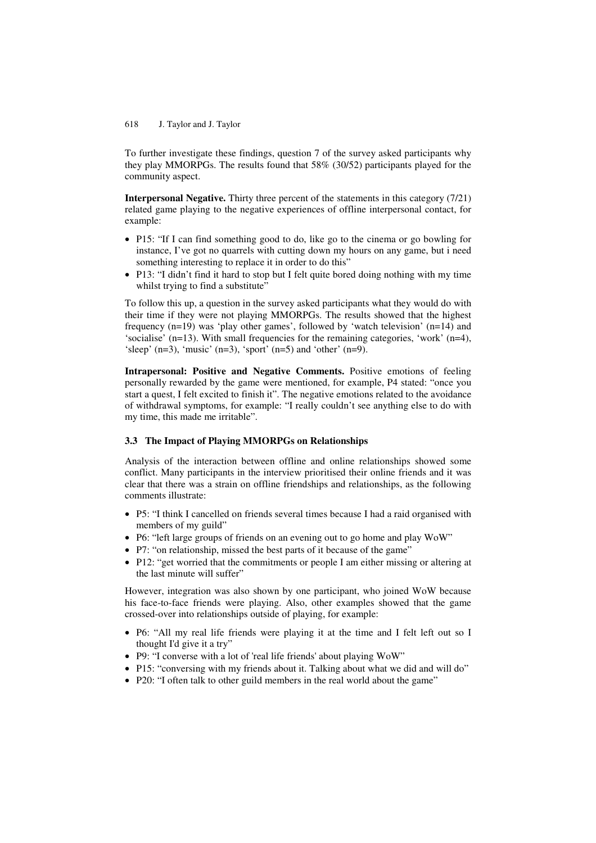To further investigate these findings, question 7 of the survey asked participants why they play MMORPGs. The results found that 58% (30/52) participants played for the community aspect.

**Interpersonal Negative.** Thirty three percent of the statements in this category (7/21) related game playing to the negative experiences of offline interpersonal contact, for example:

- P15: "If I can find something good to do, like go to the cinema or go bowling for instance, I've got no quarrels with cutting down my hours on any game, but i need something interesting to replace it in order to do this"
- P13: "I didn't find it hard to stop but I felt quite bored doing nothing with my time whilst trying to find a substitute"

To follow this up, a question in the survey asked participants what they would do with their time if they were not playing MMORPGs. The results showed that the highest frequency (n=19) was 'play other games', followed by 'watch television' (n=14) and 'socialise' (n=13). With small frequencies for the remaining categories, 'work' (n=4), 'sleep'  $(n=3)$ , 'music'  $(n=3)$ , 'sport'  $(n=5)$  and 'other'  $(n=9)$ .

**Intrapersonal: Positive and Negative Comments.** Positive emotions of feeling personally rewarded by the game were mentioned, for example, P4 stated: "once you start a quest, I felt excited to finish it". The negative emotions related to the avoidance of withdrawal symptoms, for example: "I really couldn't see anything else to do with my time, this made me irritable".

### **3.3 The Impact of Playing MMORPGs on Relationships**

Analysis of the interaction between offline and online relationships showed some conflict. Many participants in the interview prioritised their online friends and it was clear that there was a strain on offline friendships and relationships, as the following comments illustrate:

- P5: "I think I cancelled on friends several times because I had a raid organised with members of my guild"
- P6: "left large groups of friends on an evening out to go home and play WoW"
- P7: "on relationship, missed the best parts of it because of the game"
- P12: "get worried that the commitments or people I am either missing or altering at the last minute will suffer"

However, integration was also shown by one participant, who joined WoW because his face-to-face friends were playing. Also, other examples showed that the game crossed-over into relationships outside of playing, for example:

- P6: "All my real life friends were playing it at the time and I felt left out so I thought I'd give it a try"
- P9: "I converse with a lot of 'real life friends' about playing WoW"
- P15: "conversing with my friends about it. Talking about what we did and will do"
- P20: "I often talk to other guild members in the real world about the game"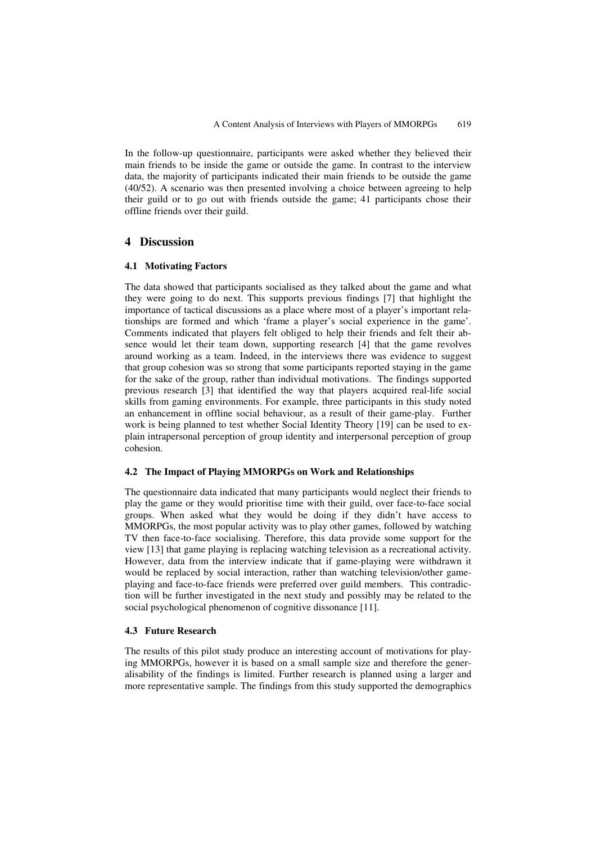In the follow-up questionnaire, participants were asked whether they believed their main friends to be inside the game or outside the game. In contrast to the interview data, the majority of participants indicated their main friends to be outside the game (40/52). A scenario was then presented involving a choice between agreeing to help their guild or to go out with friends outside the game; 41 participants chose their offline friends over their guild.

## **4 Discussion**

#### **4.1 Motivating Factors**

The data showed that participants socialised as they talked about the game and what they were going to do next. This supports previous findings [7] that highlight the importance of tactical discussions as a place where most of a player's important relationships are formed and which 'frame a player's social experience in the game'. Comments indicated that players felt obliged to help their friends and felt their absence would let their team down, supporting research [4] that the game revolves around working as a team. Indeed, in the interviews there was evidence to suggest that group cohesion was so strong that some participants reported staying in the game for the sake of the group, rather than individual motivations. The findings supported previous research [3] that identified the way that players acquired real-life social skills from gaming environments. For example, three participants in this study noted an enhancement in offline social behaviour, as a result of their game-play. Further work is being planned to test whether Social Identity Theory [19] can be used to explain intrapersonal perception of group identity and interpersonal perception of group cohesion.

#### **4.2 The Impact of Playing MMORPGs on Work and Relationships**

The questionnaire data indicated that many participants would neglect their friends to play the game or they would prioritise time with their guild, over face-to-face social groups. When asked what they would be doing if they didn't have access to MMORPGs, the most popular activity was to play other games, followed by watching TV then face-to-face socialising. Therefore, this data provide some support for the view [13] that game playing is replacing watching television as a recreational activity. However, data from the interview indicate that if game-playing were withdrawn it would be replaced by social interaction, rather than watching television/other gameplaying and face-to-face friends were preferred over guild members. This contradiction will be further investigated in the next study and possibly may be related to the social psychological phenomenon of cognitive dissonance [11].

#### **4.3 Future Research**

The results of this pilot study produce an interesting account of motivations for playing MMORPGs, however it is based on a small sample size and therefore the generalisability of the findings is limited. Further research is planned using a larger and more representative sample. The findings from this study supported the demographics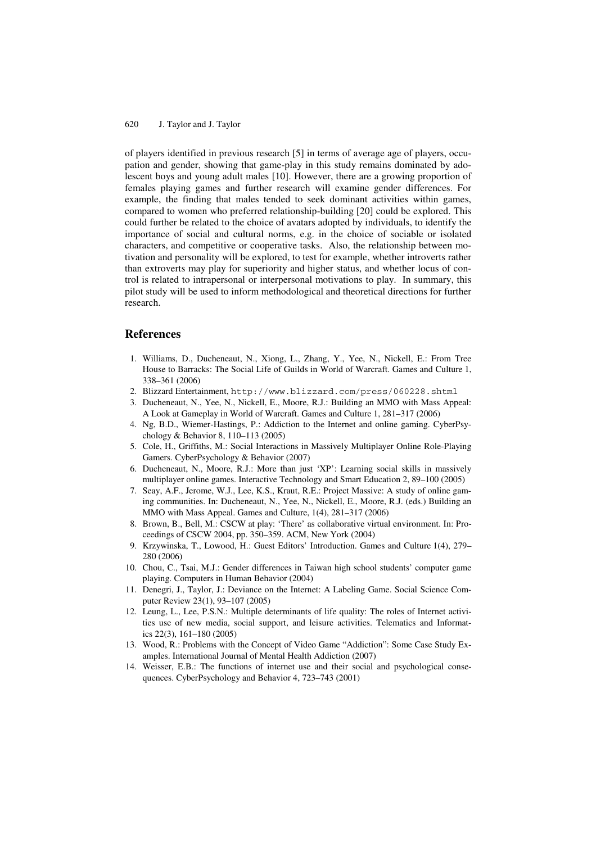of players identified in previous research [5] in terms of average age of players, occupation and gender, showing that game-play in this study remains dominated by adolescent boys and young adult males [10]. However, there are a growing proportion of females playing games and further research will examine gender differences. For example, the finding that males tended to seek dominant activities within games, compared to women who preferred relationship-building [20] could be explored. This could further be related to the choice of avatars adopted by individuals, to identify the importance of social and cultural norms, e.g. in the choice of sociable or isolated characters, and competitive or cooperative tasks. Also, the relationship between motivation and personality will be explored, to test for example, whether introverts rather than extroverts may play for superiority and higher status, and whether locus of control is related to intrapersonal or interpersonal motivations to play. In summary, this pilot study will be used to inform methodological and theoretical directions for further research.

# **References**

- 1. Williams, D., Ducheneaut, N., Xiong, L., Zhang, Y., Yee, N., Nickell, E.: From Tree House to Barracks: The Social Life of Guilds in World of Warcraft. Games and Culture 1, 338–361 (2006)
- 2. Blizzard Entertainment, http://www.blizzard.com/press/060228.shtml
- 3. Ducheneaut, N., Yee, N., Nickell, E., Moore, R.J.: Building an MMO with Mass Appeal: A Look at Gameplay in World of Warcraft. Games and Culture 1, 281–317 (2006)
- 4. Ng, B.D., Wiemer-Hastings, P.: Addiction to the Internet and online gaming. CyberPsychology & Behavior 8, 110–113 (2005)
- 5. Cole, H., Griffiths, M.: Social Interactions in Massively Multiplayer Online Role-Playing Gamers. CyberPsychology & Behavior (2007)
- 6. Ducheneaut, N., Moore, R.J.: More than just 'XP': Learning social skills in massively multiplayer online games. Interactive Technology and Smart Education 2, 89–100 (2005)
- 7. Seay, A.F., Jerome, W.J., Lee, K.S., Kraut, R.E.: Project Massive: A study of online gaming communities. In: Ducheneaut, N., Yee, N., Nickell, E., Moore, R.J. (eds.) Building an MMO with Mass Appeal. Games and Culture, 1(4), 281–317 (2006)
- 8. Brown, B., Bell, M.: CSCW at play: 'There' as collaborative virtual environment. In: Proceedings of CSCW 2004, pp. 350–359. ACM, New York (2004)
- 9. Krzywinska, T., Lowood, H.: Guest Editors' Introduction. Games and Culture 1(4), 279– 280 (2006)
- 10. Chou, C., Tsai, M.J.: Gender differences in Taiwan high school students' computer game playing. Computers in Human Behavior (2004)
- 11. Denegri, J., Taylor, J.: Deviance on the Internet: A Labeling Game. Social Science Computer Review 23(1), 93–107 (2005)
- 12. Leung, L., Lee, P.S.N.: Multiple determinants of life quality: The roles of Internet activities use of new media, social support, and leisure activities. Telematics and Informatics 22(3), 161–180 (2005)
- 13. Wood, R.: Problems with the Concept of Video Game "Addiction": Some Case Study Examples. International Journal of Mental Health Addiction (2007)
- 14. Weisser, E.B.: The functions of internet use and their social and psychological consequences. CyberPsychology and Behavior 4, 723–743 (2001)